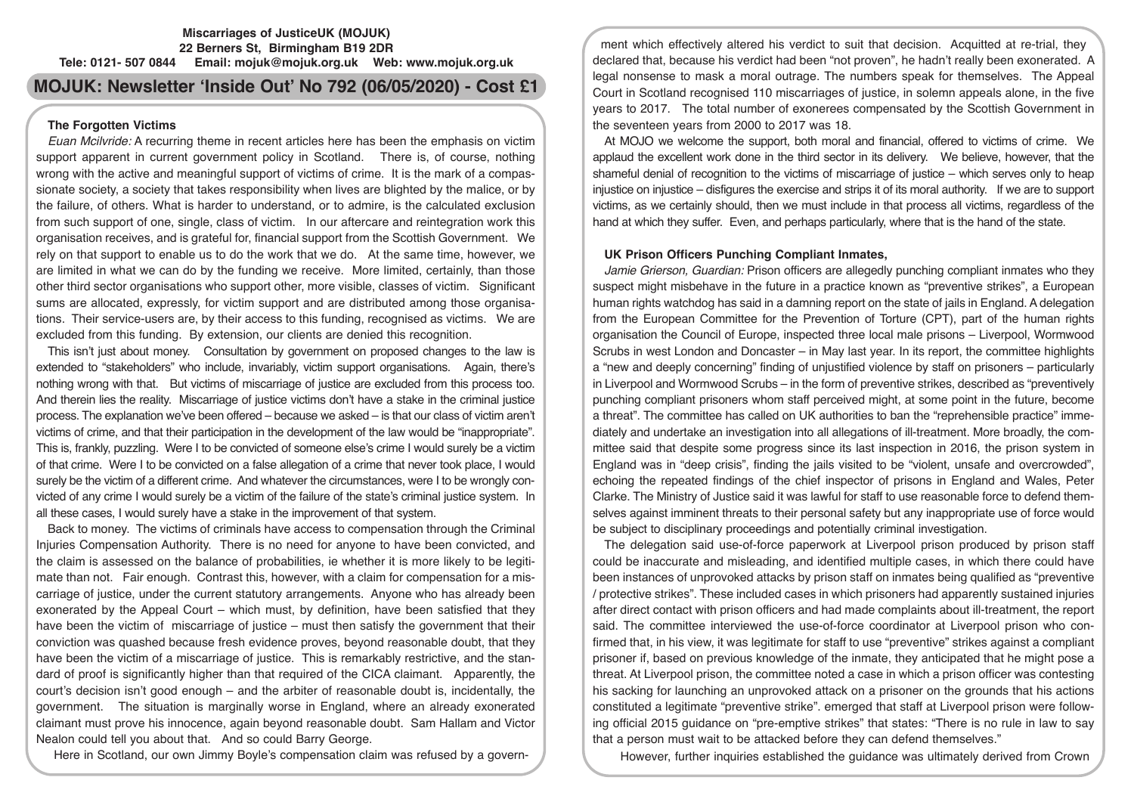# **Miscarriages of JusticeUK (MOJUK) 22 Berners St, Birmingham B19 2DR Tele: 0121- 507 0844 Email: mojuk@mojuk.org.uk Web: www.mojuk.org.uk**

# **MOJUK: Newsletter 'Inside Out' No 792 (06/05/2020) - Cost £1**

# **The Forgotten Victims**

*Euan Mcilvride:* A recurring theme in recent articles here has been the emphasis on victim support apparent in current government policy in Scotland. There is, of course, nothing wrong with the active and meaningful support of victims of crime. It is the mark of a compassionate society, a society that takes responsibility when lives are blighted by the malice, or by the failure, of others. What is harder to understand, or to admire, is the calculated exclusion from such support of one, single, class of victim. In our aftercare and reintegration work this organisation receives, and is grateful for, financial support from the Scottish Government. We rely on that support to enable us to do the work that we do. At the same time, however, we are limited in what we can do by the funding we receive. More limited, certainly, than those other third sector organisations who support other, more visible, classes of victim. Significant sums are allocated, expressly, for victim support and are distributed among those organisations. Their service-users are, by their access to this funding, recognised as victims. We are excluded from this funding. By extension, our clients are denied this recognition.

This isn't just about money. Consultation by government on proposed changes to the law is extended to "stakeholders" who include, invariably, victim support organisations. Again, there's nothing wrong with that. But victims of miscarriage of justice are excluded from this process too. And therein lies the reality. Miscarriage of justice victims don't have a stake in the criminal justice process. The explanation we've been offered – because we asked – is that our class of victim aren't victims of crime, and that their participation in the development of the law would be "inappropriate". This is, frankly, puzzling. Were I to be convicted of someone else's crime I would surely be a victim of that crime. Were I to be convicted on a false allegation of a crime that never took place, I would surely be the victim of a different crime. And whatever the circumstances, were I to be wrongly convicted of any crime I would surely be a victim of the failure of the state's criminal justice system. In all these cases, I would surely have a stake in the improvement of that system.

Back to money. The victims of criminals have access to compensation through the Criminal Injuries Compensation Authority. There is no need for anyone to have been convicted, and the claim is assessed on the balance of probabilities, ie whether it is more likely to be legitimate than not. Fair enough. Contrast this, however, with a claim for compensation for a miscarriage of justice, under the current statutory arrangements. Anyone who has already been exonerated by the Appeal Court – which must, by definition, have been satisfied that they have been the victim of miscarriage of justice – must then satisfy the government that their conviction was quashed because fresh evidence proves, beyond reasonable doubt, that they have been the victim of a miscarriage of justice. This is remarkably restrictive, and the standard of proof is significantly higher than that required of the CICA claimant. Apparently, the court's decision isn't good enough – and the arbiter of reasonable doubt is, incidentally, the government. The situation is marginally worse in England, where an already exonerated claimant must prove his innocence, again beyond reasonable doubt. Sam Hallam and Victor Nealon could tell you about that. And so could Barry George.

Here in Scotland, our own Jimmy Boyle's compensation claim was refused by a govern-

ment which effectively altered his verdict to suit that decision. Acquitted at re-trial, they declared that, because his verdict had been "not proven", he hadn't really been exonerated. A legal nonsense to mask a moral outrage. The numbers speak for themselves. The Appeal Court in Scotland recognised 110 miscarriages of justice, in solemn appeals alone, in the five years to 2017. The total number of exonerees compensated by the Scottish Government in the seventeen years from 2000 to 2017 was 18.

At MOJO we welcome the support, both moral and financial, offered to victims of crime. We applaud the excellent work done in the third sector in its delivery. We believe, however, that the shameful denial of recognition to the victims of miscarriage of justice – which serves only to heap injustice on injustice – disfigures the exercise and strips it of its moral authority. If we are to support victims, as we certainly should, then we must include in that process all victims, regardless of the hand at which they suffer. Even, and perhaps particularly, where that is the hand of the state.

# **UK Prison Officers Punching Compliant Inmates,**

*Jamie Grierson, Guardian:* Prison officers are allegedly punching compliant inmates who they suspect might misbehave in the future in a practice known as "preventive strikes", a European human rights watchdog has said in a damning report on the state of jails in England. A delegation from the European Committee for the Prevention of Torture (CPT), part of the human rights organisation the Council of Europe, inspected three local male prisons – Liverpool, Wormwood Scrubs in west London and Doncaster – in May last year. In its report, the committee highlights a "new and deeply concerning" finding of unjustified violence by staff on prisoners – particularly in Liverpool and Wormwood Scrubs – in the form of preventive strikes, described as "preventively punching compliant prisoners whom staff perceived might, at some point in the future, become a threat". The committee has called on UK authorities to ban the "reprehensible practice" immediately and undertake an investigation into all allegations of ill-treatment. More broadly, the committee said that despite some progress since its last inspection in 2016, the prison system in England was in "deep crisis", finding the jails visited to be "violent, unsafe and overcrowded", echoing the repeated findings of the chief inspector of prisons in England and Wales, Peter Clarke. The Ministry of Justice said it was lawful for staff to use reasonable force to defend themselves against imminent threats to their personal safety but any inappropriate use of force would be subject to disciplinary proceedings and potentially criminal investigation.

The delegation said use-of-force paperwork at Liverpool prison produced by prison staff could be inaccurate and misleading, and identified multiple cases, in which there could have been instances of unprovoked attacks by prison staff on inmates being qualified as "preventive / protective strikes". These included cases in which prisoners had apparently sustained injuries after direct contact with prison officers and had made complaints about ill-treatment, the report said. The committee interviewed the use-of-force coordinator at Liverpool prison who confirmed that, in his view, it was legitimate for staff to use "preventive" strikes against a compliant prisoner if, based on previous knowledge of the inmate, they anticipated that he might pose a threat. At Liverpool prison, the committee noted a case in which a prison officer was contesting his sacking for launching an unprovoked attack on a prisoner on the grounds that his actions constituted a legitimate "preventive strike". emerged that staff at Liverpool prison were following official 2015 guidance on "pre-emptive strikes" that states: "There is no rule in law to say that a person must wait to be attacked before they can defend themselves."

However, further inquiries established the guidance was ultimately derived from Crown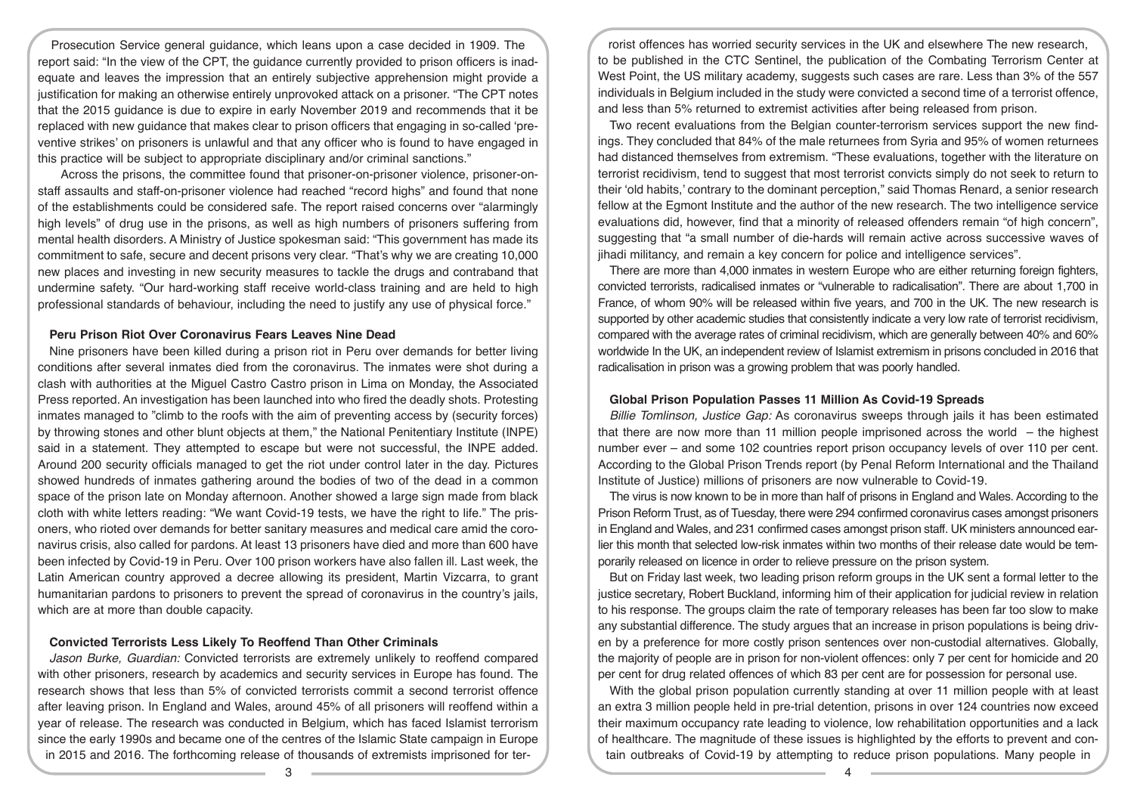Prosecution Service general guidance, which leans upon a case decided in 1909. The report said: "In the view of the CPT, the guidance currently provided to prison officers is inadequate and leaves the impression that an entirely subjective apprehension might provide a justification for making an otherwise entirely unprovoked attack on a prisoner. "The CPT notes that the 2015 guidance is due to expire in early November 2019 and recommends that it be replaced with new guidance that makes clear to prison officers that engaging in so-called 'preventive strikes' on prisoners is unlawful and that any officer who is found to have engaged in this practice will be subject to appropriate disciplinary and/or criminal sanctions."

Across the prisons, the committee found that prisoner-on-prisoner violence, prisoner-onstaff assaults and staff-on-prisoner violence had reached "record highs" and found that none of the establishments could be considered safe. The report raised concerns over "alarmingly high levels" of drug use in the prisons, as well as high numbers of prisoners suffering from mental health disorders. A Ministry of Justice spokesman said: "This government has made its commitment to safe, secure and decent prisons very clear. "That's why we are creating 10,000 new places and investing in new security measures to tackle the drugs and contraband that undermine safety. "Our hard-working staff receive world-class training and are held to high professional standards of behaviour, including the need to justify any use of physical force."

## **Peru Prison Riot Over Coronavirus Fears Leaves Nine Dead**

Nine prisoners have been killed during a prison riot in Peru over demands for better living conditions after several inmates died from the coronavirus. The inmates were shot during a clash with authorities at the Miguel Castro Castro prison in Lima on Monday, the Associated Press reported. An investigation has been launched into who fired the deadly shots. Protesting inmates managed to "climb to the roofs with the aim of preventing access by (security forces) by throwing stones and other blunt objects at them," the National Penitentiary Institute (INPE) said in a statement. They attempted to escape but were not successful, the INPE added. Around 200 security officials managed to get the riot under control later in the day. Pictures showed hundreds of inmates gathering around the bodies of two of the dead in a common space of the prison late on Monday afternoon. Another showed a large sign made from black cloth with white letters reading: "We want Covid-19 tests, we have the right to life." The prisoners, who rioted over demands for better sanitary measures and medical care amid the coronavirus crisis, also called for pardons. At least 13 prisoners have died and more than 600 have been infected by Covid-19 in Peru. Over 100 prison workers have also fallen ill. Last week, the Latin American country approved a decree allowing its president, Martin Vizcarra, to grant humanitarian pardons to prisoners to prevent the spread of coronavirus in the country's jails, which are at more than double capacity.

#### **Convicted Terrorists Less Likely To Reoffend Than Other Criminals**

*Jason Burke, Guardian:* Convicted terrorists are extremely unlikely to reoffend compared with other prisoners, research by academics and security services in Europe has found. The research shows that less than 5% of convicted terrorists commit a second terrorist offence after leaving prison. In England and Wales, around 45% of all prisoners will reoffend within a year of release. The research was conducted in Belgium, which has faced Islamist terrorism since the early 1990s and became one of the centres of the Islamic State campaign in Europe in 2015 and 2016. The forthcoming release of thousands of extremists imprisoned for ter-

rorist offences has worried security services in the UK and elsewhere The new research, to be published in the CTC Sentinel, the publication of the Combating Terrorism Center at West Point, the US military academy, suggests such cases are rare. Less than 3% of the 557 individuals in Belgium included in the study were convicted a second time of a terrorist offence, and less than 5% returned to extremist activities after being released from prison.

Two recent evaluations from the Belgian counter-terrorism services support the new findings. They concluded that 84% of the male returnees from Syria and 95% of women returnees had distanced themselves from extremism. "These evaluations, together with the literature on terrorist recidivism, tend to suggest that most terrorist convicts simply do not seek to return to their 'old habits,' contrary to the dominant perception," said Thomas Renard, a senior research fellow at the Egmont Institute and the author of the new research. The two intelligence service evaluations did, however, find that a minority of released offenders remain "of high concern", suggesting that "a small number of die-hards will remain active across successive waves of jihadi militancy, and remain a key concern for police and intelligence services".

There are more than 4,000 inmates in western Europe who are either returning foreign fighters, convicted terrorists, radicalised inmates or "vulnerable to radicalisation". There are about 1,700 in France, of whom 90% will be released within five years, and 700 in the UK. The new research is supported by other academic studies that consistently indicate a very low rate of terrorist recidivism, compared with the average rates of criminal recidivism, which are generally between 40% and 60% worldwide In the UK, an independent review of Islamist extremism in prisons concluded in 2016 that radicalisation in prison was a growing problem that was poorly handled.

#### **Global Prison Population Passes 11 Million As Covid-19 Spreads**

*Billie Tomlinson, Justice Gap:* As coronavirus sweeps through jails it has been estimated that there are now more than 11 million people imprisoned across the world – the highest number ever – and some 102 countries report prison occupancy levels of over 110 per cent. According to the Global Prison Trends report (by Penal Reform International and the Thailand Institute of Justice) millions of prisoners are now vulnerable to Covid-19.

The virus is now known to be in more than half of prisons in England and Wales. According to the Prison Reform Trust, as of Tuesday, there were 294 confirmed coronavirus cases amongst prisoners in England and Wales, and 231 confirmed cases amongst prison staff. UK ministers announced earlier this month that selected low-risk inmates within two months of their release date would be temporarily released on licence in order to relieve pressure on the prison system.

But on Friday last week, two leading prison reform groups in the UK sent a formal letter to the justice secretary, Robert Buckland, informing him of their application for judicial review in relation to his response. The groups claim the rate of temporary releases has been far too slow to make any substantial difference. The study argues that an increase in prison populations is being driven by a preference for more costly prison sentences over non-custodial alternatives. Globally, the majority of people are in prison for non-violent offences: only 7 per cent for homicide and 20 per cent for drug related offences of which 83 per cent are for possession for personal use.

With the global prison population currently standing at over 11 million people with at least an extra 3 million people held in pre-trial detention, prisons in over 124 countries now exceed their maximum occupancy rate leading to violence, low rehabilitation opportunities and a lack of healthcare. The magnitude of these issues is highlighted by the efforts to prevent and contain outbreaks of Covid-19 by attempting to reduce prison populations. Many people in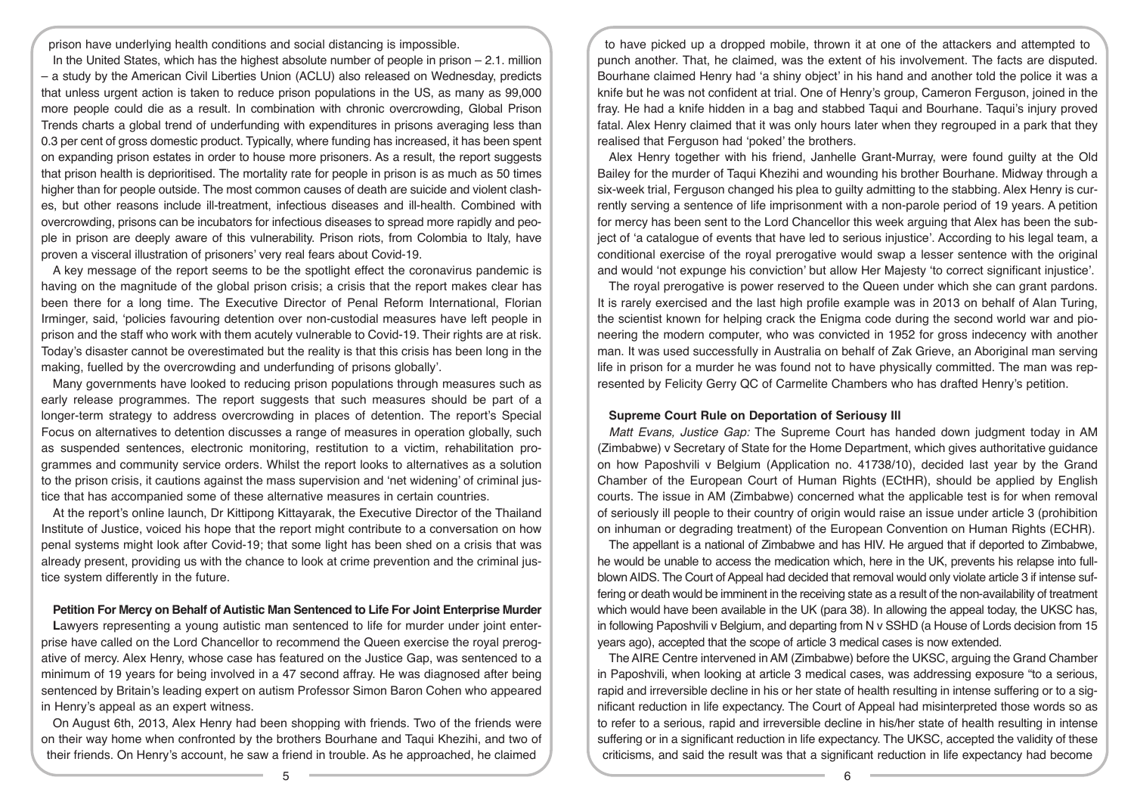prison have underlying health conditions and social distancing is impossible.

In the United States, which has the highest absolute number of people in prison – 2.1. million – a study by the American Civil Liberties Union (ACLU) also released on Wednesday, predicts that unless urgent action is taken to reduce prison populations in the US, as many as 99,000 more people could die as a result. In combination with chronic overcrowding, Global Prison Trends charts a global trend of underfunding with expenditures in prisons averaging less than 0.3 per cent of gross domestic product. Typically, where funding has increased, it has been spent on expanding prison estates in order to house more prisoners. As a result, the report suggests that prison health is deprioritised. The mortality rate for people in prison is as much as 50 times higher than for people outside. The most common causes of death are suicide and violent clashes, but other reasons include ill-treatment, infectious diseases and ill-health. Combined with overcrowding, prisons can be incubators for infectious diseases to spread more rapidly and people in prison are deeply aware of this vulnerability. Prison riots, from Colombia to Italy, have proven a visceral illustration of prisoners' very real fears about Covid-19.

A key message of the report seems to be the spotlight effect the coronavirus pandemic is having on the magnitude of the global prison crisis; a crisis that the report makes clear has been there for a long time. The Executive Director of Penal Reform International, Florian Irminger, said, 'policies favouring detention over non-custodial measures have left people in prison and the staff who work with them acutely vulnerable to Covid-19. Their rights are at risk. Today's disaster cannot be overestimated but the reality is that this crisis has been long in the making, fuelled by the overcrowding and underfunding of prisons globally'.

Many governments have looked to reducing prison populations through measures such as early release programmes. The report suggests that such measures should be part of a longer-term strategy to address overcrowding in places of detention. The report's Special Focus on alternatives to detention discusses a range of measures in operation globally, such as suspended sentences, electronic monitoring, restitution to a victim, rehabilitation programmes and community service orders. Whilst the report looks to alternatives as a solution to the prison crisis, it cautions against the mass supervision and 'net widening' of criminal justice that has accompanied some of these alternative measures in certain countries.

At the report's online launch, Dr Kittipong Kittayarak, the Executive Director of the Thailand Institute of Justice, voiced his hope that the report might contribute to a conversation on how penal systems might look after Covid-19; that some light has been shed on a crisis that was already present, providing us with the chance to look at crime prevention and the criminal justice system differently in the future.

# **Petition For Mercy on Behalf of Autistic Man Sentenced to Life For Joint Enterprise Murder**

**L**awyers representing a young autistic man sentenced to life for murder under joint enterprise have called on the Lord Chancellor to recommend the Queen exercise the royal prerogative of mercy. Alex Henry, whose case has featured on the Justice Gap, was sentenced to a minimum of 19 years for being involved in a 47 second affray. He was diagnosed after being sentenced by Britain's leading expert on autism Professor Simon Baron Cohen who appeared in Henry's appeal as an expert witness.

On August 6th, 2013, Alex Henry had been shopping with friends. Two of the friends were on their way home when confronted by the brothers Bourhane and Taqui Khezihi, and two of their friends. On Henry's account, he saw a friend in trouble. As he approached, he claimed

to have picked up a dropped mobile, thrown it at one of the attackers and attempted to punch another. That, he claimed, was the extent of his involvement. The facts are disputed. Bourhane claimed Henry had 'a shiny object' in his hand and another told the police it was a knife but he was not confident at trial. One of Henry's group, Cameron Ferguson, joined in the fray. He had a knife hidden in a bag and stabbed Taqui and Bourhane. Taqui's injury proved fatal. Alex Henry claimed that it was only hours later when they regrouped in a park that they realised that Ferguson had 'poked' the brothers.

Alex Henry together with his friend, Janhelle Grant-Murray, were found guilty at the Old Bailey for the murder of Taqui Khezihi and wounding his brother Bourhane. Midway through a six-week trial, Ferguson changed his plea to guilty admitting to the stabbing. Alex Henry is currently serving a sentence of life imprisonment with a non-parole period of 19 years. A petition for mercy has been sent to the Lord Chancellor this week arguing that Alex has been the subject of 'a catalogue of events that have led to serious injustice'. According to his legal team, a conditional exercise of the royal prerogative would swap a lesser sentence with the original and would 'not expunge his conviction' but allow Her Majesty 'to correct significant injustice'.

The royal prerogative is power reserved to the Queen under which she can grant pardons. It is rarely exercised and the last high profile example was in 2013 on behalf of Alan Turing, the scientist known for helping crack the Enigma code during the second world war and pioneering the modern computer, who was convicted in 1952 for gross indecency with another man. It was used successfully in Australia on behalf of Zak Grieve, an Aboriginal man serving life in prison for a murder he was found not to have physically committed. The man was represented by Felicity Gerry QC of Carmelite Chambers who has drafted Henry's petition.

#### **Supreme Court Rule on Deportation of Seriousy Ill**

*Matt Evans, Justice Gap:* The Supreme Court has handed down judgment today in AM (Zimbabwe) v Secretary of State for the Home Department, which gives authoritative guidance on how Paposhvili v Belgium (Application no. 41738/10), decided last year by the Grand Chamber of the European Court of Human Rights (ECtHR), should be applied by English courts. The issue in AM (Zimbabwe) concerned what the applicable test is for when removal of seriously ill people to their country of origin would raise an issue under article 3 (prohibition on inhuman or degrading treatment) of the European Convention on Human Rights (ECHR).

The appellant is a national of Zimbabwe and has HIV. He argued that if deported to Zimbabwe, he would be unable to access the medication which, here in the UK, prevents his relapse into fullblown AIDS. The Court of Appeal had decided that removal would only violate article 3 if intense suffering or death would be imminent in the receiving state as a result of the non-availability of treatment which would have been available in the UK (para 38). In allowing the appeal today, the UKSC has, in following Paposhvili v Belgium, and departing from N v SSHD (a House of Lords decision from 15 years ago), accepted that the scope of article 3 medical cases is now extended.

The AIRE Centre intervened in AM (Zimbabwe) before the UKSC, arguing the Grand Chamber in Paposhvili, when looking at article 3 medical cases, was addressing exposure "to a serious, rapid and irreversible decline in his or her state of health resulting in intense suffering or to a significant reduction in life expectancy. The Court of Appeal had misinterpreted those words so as to refer to a serious, rapid and irreversible decline in his/her state of health resulting in intense suffering or in a significant reduction in life expectancy. The UKSC, accepted the validity of these criticisms, and said the result was that a significant reduction in life expectancy had become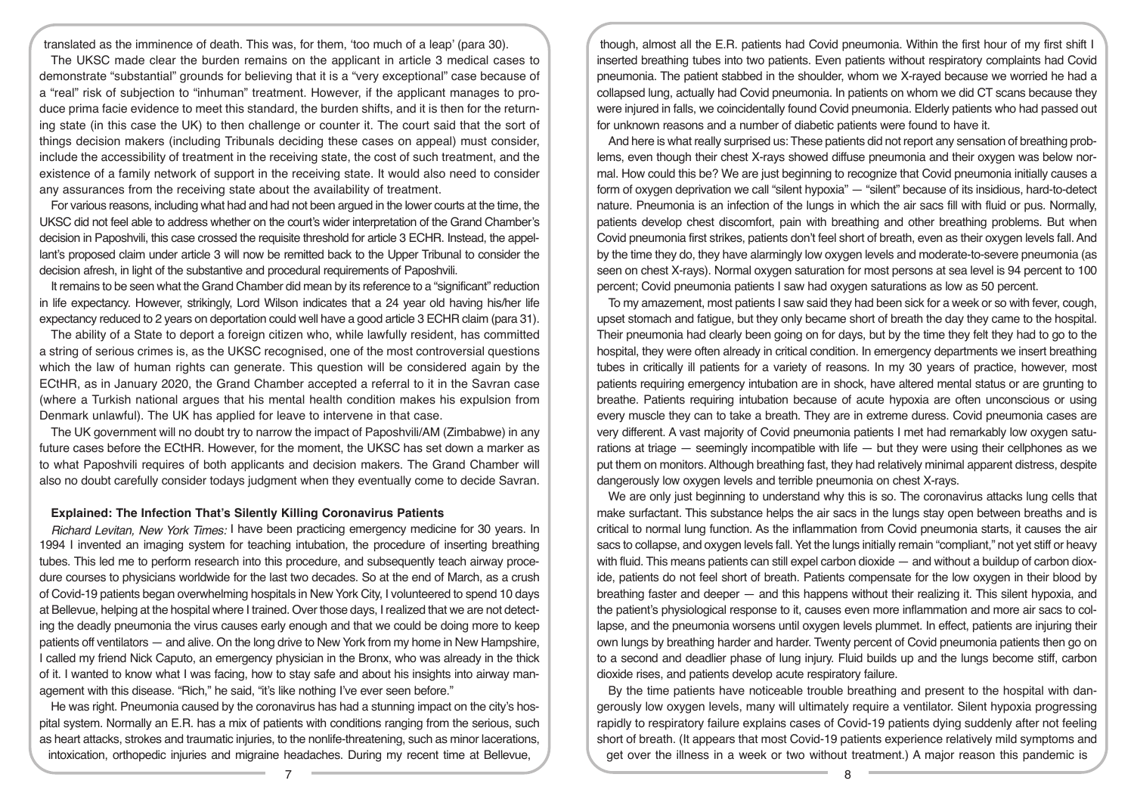translated as the imminence of death. This was, for them, 'too much of a leap' (para 30).

The UKSC made clear the burden remains on the applicant in article 3 medical cases to demonstrate "substantial" grounds for believing that it is a "very exceptional" case because of a "real" risk of subjection to "inhuman" treatment. However, if the applicant manages to produce prima facie evidence to meet this standard, the burden shifts, and it is then for the returning state (in this case the UK) to then challenge or counter it. The court said that the sort of things decision makers (including Tribunals deciding these cases on appeal) must consider, include the accessibility of treatment in the receiving state, the cost of such treatment, and the existence of a family network of support in the receiving state. It would also need to consider any assurances from the receiving state about the availability of treatment.

For various reasons, including what had and had not been argued in the lower courts at the time, the UKSC did not feel able to address whether on the court's wider interpretation of the Grand Chamber's decision in Paposhvili, this case crossed the requisite threshold for article 3 ECHR. Instead, the appellant's proposed claim under article 3 will now be remitted back to the Upper Tribunal to consider the decision afresh, in light of the substantive and procedural requirements of Paposhvili.

It remains to be seen what the Grand Chamber did mean by its reference to a "significant" reduction in life expectancy. However, strikingly, Lord Wilson indicates that a 24 year old having his/her life expectancy reduced to 2 years on deportation could well have a good article 3 ECHR claim (para 31).

The ability of a State to deport a foreign citizen who, while lawfully resident, has committed a string of serious crimes is, as the UKSC recognised, one of the most controversial questions which the law of human rights can generate. This question will be considered again by the ECtHR, as in January 2020, the Grand Chamber accepted a referral to it in the Savran case (where a Turkish national argues that his mental health condition makes his expulsion from Denmark unlawful). The UK has applied for leave to intervene in that case.

The UK government will no doubt try to narrow the impact of Paposhvili/AM (Zimbabwe) in any future cases before the ECtHR. However, for the moment, the UKSC has set down a marker as to what Paposhvili requires of both applicants and decision makers. The Grand Chamber will also no doubt carefully consider todays judgment when they eventually come to decide Savran.

## **Explained: The Infection That's Silently Killing Coronavirus Patients**

*Richard Levitan, New York Times:* I have been practicing emergency medicine for 30 years. In 1994 I invented an imaging system for teaching intubation, the procedure of inserting breathing tubes. This led me to perform research into this procedure, and subsequently teach airway procedure courses to physicians worldwide for the last two decades. So at the end of March, as a crush of Covid-19 patients began overwhelming hospitals in New York City, I volunteered to spend 10 days at Bellevue, helping at the hospital where I trained. Over those days, I realized that we are not detecting the deadly pneumonia the virus causes early enough and that we could be doing more to keep patients off ventilators — and alive. On the long drive to New York from my home in New Hampshire, I called my friend Nick Caputo, an emergency physician in the Bronx, who was already in the thick of it. I wanted to know what I was facing, how to stay safe and about his insights into airway management with this disease. "Rich," he said, "it's like nothing I've ever seen before."

He was right. Pneumonia caused by the coronavirus has had a stunning impact on the city's hospital system. Normally an E.R. has a mix of patients with conditions ranging from the serious, such as heart attacks, strokes and traumatic injuries, to the nonlife-threatening, such as minor lacerations, intoxication, orthopedic injuries and migraine headaches. During my recent time at Bellevue,

though, almost all the E.R. patients had Covid pneumonia. Within the first hour of my first shift I inserted breathing tubes into two patients. Even patients without respiratory complaints had Covid pneumonia. The patient stabbed in the shoulder, whom we X-rayed because we worried he had a collapsed lung, actually had Covid pneumonia. In patients on whom we did CT scans because they were injured in falls, we coincidentally found Covid pneumonia. Elderly patients who had passed out for unknown reasons and a number of diabetic patients were found to have it.

And here is what really surprised us: These patients did not report any sensation of breathing problems, even though their chest X-rays showed diffuse pneumonia and their oxygen was below normal. How could this be? We are just beginning to recognize that Covid pneumonia initially causes a form of oxygen deprivation we call "silent hypoxia" — "silent" because of its insidious, hard-to-detect nature. Pneumonia is an infection of the lungs in which the air sacs fill with fluid or pus. Normally, patients develop chest discomfort, pain with breathing and other breathing problems. But when Covid pneumonia first strikes, patients don't feel short of breath, even as their oxygen levels fall. And by the time they do, they have alarmingly low oxygen levels and moderate-to-severe pneumonia (as seen on chest X-rays). Normal oxygen saturation for most persons at sea level is 94 percent to 100 percent; Covid pneumonia patients I saw had oxygen saturations as low as 50 percent.

To my amazement, most patients I saw said they had been sick for a week or so with fever, cough, upset stomach and fatigue, but they only became short of breath the day they came to the hospital. Their pneumonia had clearly been going on for days, but by the time they felt they had to go to the hospital, they were often already in critical condition. In emergency departments we insert breathing tubes in critically ill patients for a variety of reasons. In my 30 years of practice, however, most patients requiring emergency intubation are in shock, have altered mental status or are grunting to breathe. Patients requiring intubation because of acute hypoxia are often unconscious or using every muscle they can to take a breath. They are in extreme duress. Covid pneumonia cases are very different. A vast majority of Covid pneumonia patients I met had remarkably low oxygen saturations at triage — seemingly incompatible with life — but they were using their cellphones as we put them on monitors. Although breathing fast, they had relatively minimal apparent distress, despite dangerously low oxygen levels and terrible pneumonia on chest X-rays.

We are only just beginning to understand why this is so. The coronavirus attacks lung cells that make surfactant. This substance helps the air sacs in the lungs stay open between breaths and is critical to normal lung function. As the inflammation from Covid pneumonia starts, it causes the air sacs to collapse, and oxygen levels fall. Yet the lungs initially remain "compliant," not yet stiff or heavy with fluid. This means patients can still expel carbon dioxide — and without a buildup of carbon dioxide, patients do not feel short of breath. Patients compensate for the low oxygen in their blood by breathing faster and deeper — and this happens without their realizing it. This silent hypoxia, and the patient's physiological response to it, causes even more inflammation and more air sacs to collapse, and the pneumonia worsens until oxygen levels plummet. In effect, patients are injuring their own lungs by breathing harder and harder. Twenty percent of Covid pneumonia patients then go on to a second and deadlier phase of lung injury. Fluid builds up and the lungs become stiff, carbon dioxide rises, and patients develop acute respiratory failure.

By the time patients have noticeable trouble breathing and present to the hospital with dangerously low oxygen levels, many will ultimately require a ventilator. Silent hypoxia progressing rapidly to respiratory failure explains cases of Covid-19 patients dying suddenly after not feeling short of breath. (It appears that most Covid-19 patients experience relatively mild symptoms and get over the illness in a week or two without treatment.) A major reason this pandemic is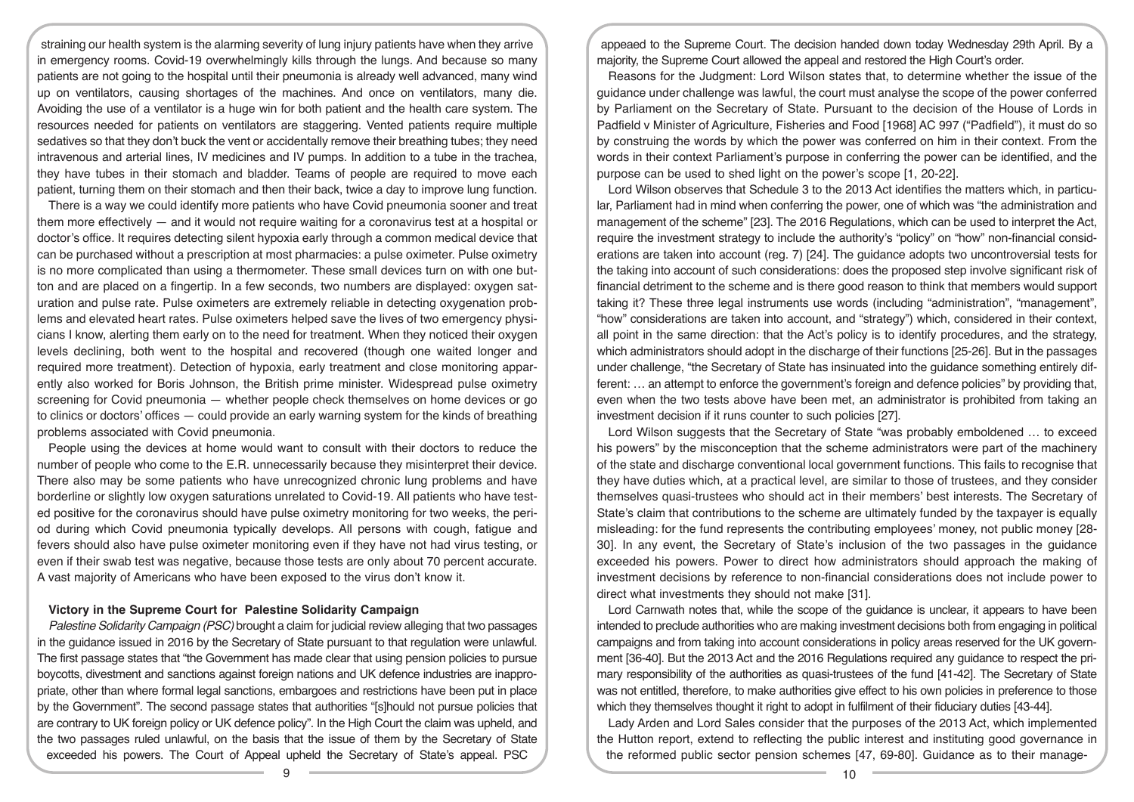straining our health system is the alarming severity of lung injury patients have when they arrive in emergency rooms. Covid-19 overwhelmingly kills through the lungs. And because so many patients are not going to the hospital until their pneumonia is already well advanced, many wind up on ventilators, causing shortages of the machines. And once on ventilators, many die. Avoiding the use of a ventilator is a huge win for both patient and the health care system. The resources needed for patients on ventilators are staggering. Vented patients require multiple sedatives so that they don't buck the vent or accidentally remove their breathing tubes; they need intravenous and arterial lines, IV medicines and IV pumps. In addition to a tube in the trachea, they have tubes in their stomach and bladder. Teams of people are required to move each patient, turning them on their stomach and then their back, twice a day to improve lung function.

There is a way we could identify more patients who have Covid pneumonia sooner and treat them more effectively — and it would not require waiting for a coronavirus test at a hospital or doctor's office. It requires detecting silent hypoxia early through a common medical device that can be purchased without a prescription at most pharmacies: a pulse oximeter. Pulse oximetry is no more complicated than using a thermometer. These small devices turn on with one button and are placed on a fingertip. In a few seconds, two numbers are displayed: oxygen saturation and pulse rate. Pulse oximeters are extremely reliable in detecting oxygenation problems and elevated heart rates. Pulse oximeters helped save the lives of two emergency physicians I know, alerting them early on to the need for treatment. When they noticed their oxygen levels declining, both went to the hospital and recovered (though one waited longer and required more treatment). Detection of hypoxia, early treatment and close monitoring apparently also worked for Boris Johnson, the British prime minister. Widespread pulse oximetry screening for Covid pneumonia — whether people check themselves on home devices or go to clinics or doctors' offices — could provide an early warning system for the kinds of breathing problems associated with Covid pneumonia.

People using the devices at home would want to consult with their doctors to reduce the number of people who come to the E.R. unnecessarily because they misinterpret their device. There also may be some patients who have unrecognized chronic lung problems and have borderline or slightly low oxygen saturations unrelated to Covid-19. All patients who have tested positive for the coronavirus should have pulse oximetry monitoring for two weeks, the period during which Covid pneumonia typically develops. All persons with cough, fatigue and fevers should also have pulse oximeter monitoring even if they have not had virus testing, or even if their swab test was negative, because those tests are only about 70 percent accurate. A vast majority of Americans who have been exposed to the virus don't know it.

## **Victory in the Supreme Court for Palestine Solidarity Campaign**

*Palestine Solidarity Campaign (PSC)* brought a claim for judicial review alleging that two passages in the guidance issued in 2016 by the Secretary of State pursuant to that regulation were unlawful. The first passage states that "the Government has made clear that using pension policies to pursue boycotts, divestment and sanctions against foreign nations and UK defence industries are inappropriate, other than where formal legal sanctions, embargoes and restrictions have been put in place by the Government". The second passage states that authorities "[s]hould not pursue policies that are contrary to UK foreign policy or UK defence policy". In the High Court the claim was upheld, and the two passages ruled unlawful, on the basis that the issue of them by the Secretary of State exceeded his powers. The Court of Appeal upheld the Secretary of State's appeal. PSC

appeaed to the Supreme Court. The decision handed down today Wednesday 29th April. By a majority, the Supreme Court allowed the appeal and restored the High Court's order.

Reasons for the Judgment: Lord Wilson states that, to determine whether the issue of the guidance under challenge was lawful, the court must analyse the scope of the power conferred by Parliament on the Secretary of State. Pursuant to the decision of the House of Lords in Padfield v Minister of Agriculture, Fisheries and Food [1968] AC 997 ("Padfield"), it must do so by construing the words by which the power was conferred on him in their context. From the words in their context Parliament's purpose in conferring the power can be identified, and the purpose can be used to shed light on the power's scope [1, 20-22].

Lord Wilson observes that Schedule 3 to the 2013 Act identifies the matters which, in particular, Parliament had in mind when conferring the power, one of which was "the administration and management of the scheme" [23]. The 2016 Regulations, which can be used to interpret the Act, require the investment strategy to include the authority's "policy" on "how" non-financial considerations are taken into account (reg. 7) [24]. The guidance adopts two uncontroversial tests for the taking into account of such considerations: does the proposed step involve significant risk of financial detriment to the scheme and is there good reason to think that members would support taking it? These three legal instruments use words (including "administration", "management", "how" considerations are taken into account, and "strategy") which, considered in their context, all point in the same direction: that the Act's policy is to identify procedures, and the strategy, which administrators should adopt in the discharge of their functions [25-26]. But in the passages under challenge, "the Secretary of State has insinuated into the guidance something entirely different: ... an attempt to enforce the government's foreign and defence policies" by providing that, even when the two tests above have been met, an administrator is prohibited from taking an investment decision if it runs counter to such policies [27].

Lord Wilson suggests that the Secretary of State "was probably emboldened … to exceed his powers" by the misconception that the scheme administrators were part of the machinery of the state and discharge conventional local government functions. This fails to recognise that they have duties which, at a practical level, are similar to those of trustees, and they consider themselves quasi-trustees who should act in their members' best interests. The Secretary of State's claim that contributions to the scheme are ultimately funded by the taxpayer is equally misleading: for the fund represents the contributing employees' money, not public money [28- 30]. In any event, the Secretary of State's inclusion of the two passages in the guidance exceeded his powers. Power to direct how administrators should approach the making of investment decisions by reference to non-financial considerations does not include power to direct what investments they should not make [31].

Lord Carnwath notes that, while the scope of the guidance is unclear, it appears to have been intended to preclude authorities who are making investment decisions both from engaging in political campaigns and from taking into account considerations in policy areas reserved for the UK government [36-40]. But the 2013 Act and the 2016 Regulations required any guidance to respect the primary responsibility of the authorities as quasi-trustees of the fund [41-42]. The Secretary of State was not entitled, therefore, to make authorities give effect to his own policies in preference to those which they themselves thought it right to adopt in fulfilment of their fiduciary duties [43-44].

Lady Arden and Lord Sales consider that the purposes of the 2013 Act, which implemented the Hutton report, extend to reflecting the public interest and instituting good governance in the reformed public sector pension schemes [47, 69-80]. Guidance as to their manage-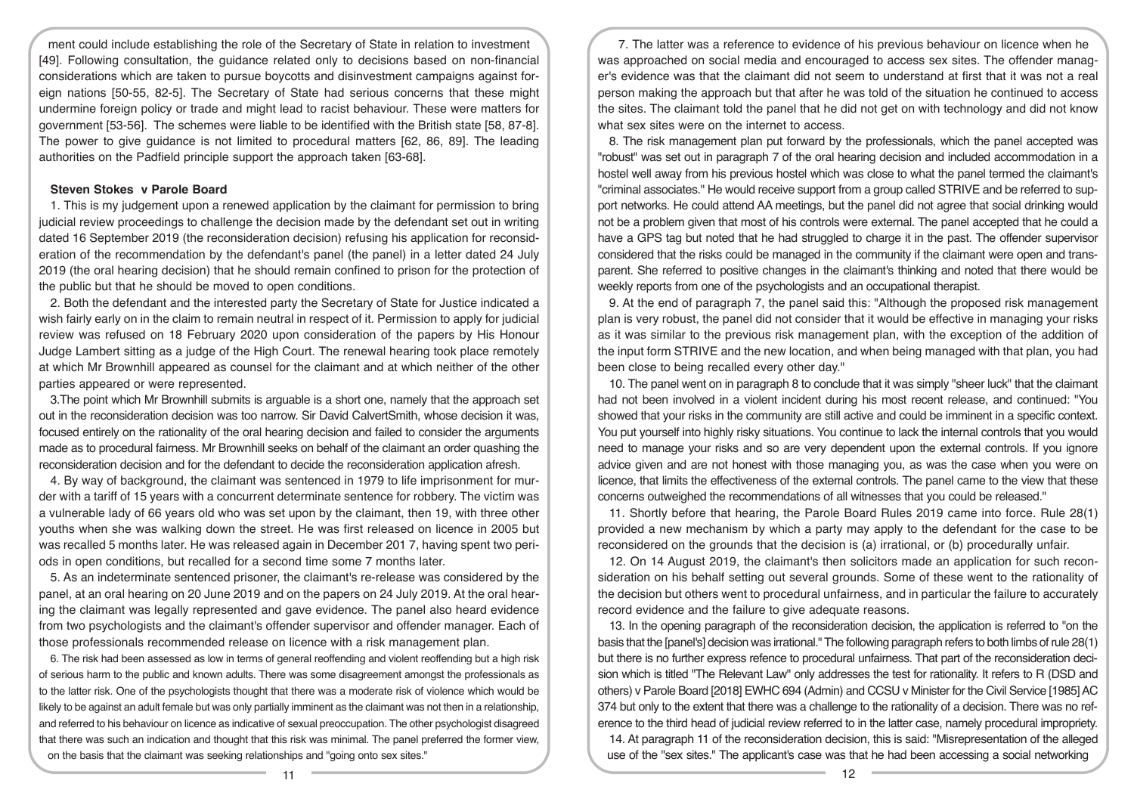ment could include establishing the role of the Secretary of State in relation to investment [49]. Following consultation, the guidance related only to decisions based on non-financial considerations which are taken to pursue boycotts and disinvestment campaigns against foreign nations [50-55, 82-5]. The Secretary of State had serious concerns that these might undermine foreign policy or trade and might lead to racist behaviour. These were matters for government [53-56]. The schemes were liable to be identified with the British state [58, 87-8]. The power to give guidance is not limited to procedural matters [62, 86, 89]. The leading authorities on the Padfield principle support the approach taken [63-68].

## **Steven Stokes v Parole Board**

1. This is my judgement upon a renewed application by the claimant for permission to bring judicial review proceedings to challenge the decision made by the defendant set out in writing dated 16 September 2019 (the reconsideration decision) refusing his application for reconsideration of the recommendation by the defendant's panel (the panel) in a letter dated 24 July 2019 (the oral hearing decision) that he should remain confined to prison for the protection of the public but that he should be moved to open conditions.

2. Both the defendant and the interested party the Secretary of State for Justice indicated a wish fairly early on in the claim to remain neutral in respect of it. Permission to apply for judicial review was refused on 18 February 2020 upon consideration of the papers by His Honour Judge Lambert sitting as a judge of the High Court. The renewal hearing took place remotely at which Mr Brownhill appeared as counsel for the claimant and at which neither of the other parties appeared or were represented.

3.The point which Mr Brownhill submits is arguable is a short one, namely that the approach set out in the reconsideration decision was too narrow. Sir David Calvert Smith, whose decision it was, focused entirely on the rationality of the oral hearing decision and failed to consider the arguments made as to procedural fairness. Mr Brownhill seeks on behalf of the claimant an order quashing the reconsideration decision and for the defendant to decide the reconsideration application afresh.

4. By way of background, the claimant was sentenced in 1979 to life imprisonment for murder with a tariff of 15 years with a concurrent determinate sentence for robbery. The victim was a vulnerable lady of 66 years old who was set upon by the claimant, then 19, with three other youths when she was walking down the street. He was first released on licence in 2005 but was recalled 5 months later. He was released again in December 201 7, having spent two periods in open conditions, but recalled for a second time some 7 months later.

5. As an indeterminate sentenced prisoner, the claimant's re-release was considered by the panel, at an oral hearing on 20 June 2019 and on the papers on 24 July 2019. At the oral hearing the claimant was legally represented and gave evidence. The panel also heard evidence from two psychologists and the claimant's offender supervisor and offender manager. Each of those professionals recommended release on licence with a risk management plan.

6. The risk had been assessed as low in terms of general reoffending and violent reoffending but a high risk of serious harm to the public and known adults. There was some disagreement amongst the professionals as to the latter risk. One of the psychologists thought that there was a moderate risk of violence which would be likely to be against an adult female but was only partially imminent as the claimant was not then in a relationship, and referred to his behaviour on licence as indicative of sexual preoccupation. The other psychologist disagreed that there was such an indication and thought that this risk was minimal. The panel preferred the former view, on the basis that the claimant was seeking relationships and "going onto sex sites."

7. The latter was a reference to evidence of his previous behaviour on licence when he was approached on social media and encouraged to access sex sites. The offender manager's evidence was that the claimant did not seem to understand at first that it was not a real person making the approach but that after he was told of the situation he continued to access the sites. The claimant told the panel that he did not get on with technology and did not know what sex sites were on the internet to access.

8. The risk management plan put forward by the professionals, which the panel accepted was "robust" was set out in paragraph 7 of the oral hearing decision and included accommodation in a hostel well away from his previous hostel which was close to what the panel termed the claimant's "criminal associates." He would receive support from a group called STRIVE and be referred to support networks. He could attend AA meetings, but the panel did not agree that social drinking would not be a problem given that most of his controls were external. The panel accepted that he could a have a GPS tag but noted that he had struggled to charge it in the past. The offender supervisor considered that the risks could be managed in the community if the claimant were open and transparent. She referred to positive changes in the claimant's thinking and noted that there would be weekly reports from one of the psychologists and an occupational therapist.

9. At the end of paragraph 7, the panel said this: "Although the proposed risk management plan is very robust, the panel did not consider that it would be effective in managing your risks as it was similar to the previous risk management plan, with the exception of the addition of the input form STRIVE and the new location, and when being managed with that plan, you had been close to being recalled every other day."

10. The panel went on in paragraph 8 to conclude that it was simply "sheer luck" that the claimant had not been involved in a violent incident during his most recent release, and continued: "You showed that your risks in the community are still active and could be imminent in a specific context. You put yourself into highly risky situations. You continue to lack the internal controls that you would need to manage your risks and so are very dependent upon the external controls. If you ignore advice given and are not honest with those managing you, as was the case when you were on licence, that limits the effectiveness of the external controls. The panel came to the view that these concerns outweighed the recommendations of all witnesses that you could be released."

11. Shortly before that hearing, the Parole Board Rules 2019 came into force. Rule 28(1) provided a new mechanism by which a party may apply to the defendant for the case to be reconsidered on the grounds that the decision is (a) irrational, or (b) procedurally unfair.

12. On 14 August 2019, the claimant's then solicitors made an application for such reconsideration on his behalf setting out several grounds. Some of these went to the rationality of the decision but others went to procedural unfairness, and in particular the failure to accurately record evidence and the failure to give adequate reasons.

13. In the opening paragraph of the reconsideration decision, the application is referred to "on the basis that the [panel's] decision was irrational." The following paragraph refers to both limbs of rule 28(1) but there is no further express refence to procedural unfairness. That part of the reconsideration decision which is titled "The Relevant Law" only addresses the test for rationality. It refers to R (DSD and others) v Parole Board [2018] EWHC 694 (Admin) and CCSU v Minister for the Civil Service [1985] AC 374 but only to the extent that there was a challenge to the rationality of a decision. There was no reference to the third head of judicial review referred to in the latter case, namely procedural impropriety.

14. At paragraph 11 of the reconsideration decision, this is said: "Misrepresentation of the alleged use of the "sex sites." The applicant's case was that he had been accessing a social networking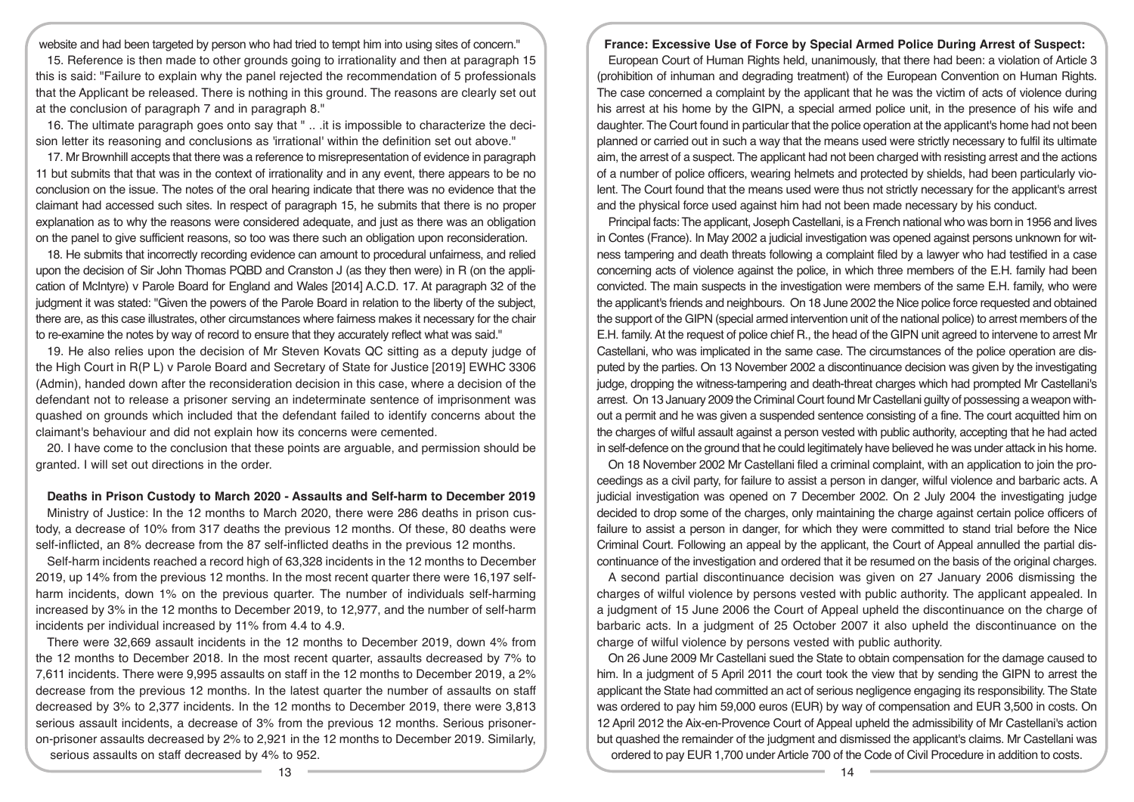website and had been targeted by person who had tried to tempt him into using sites of concern."

15. Reference is then made to other grounds going to irrationality and then at paragraph 15 this is said: "Failure to explain why the panel rejected the recommendation of 5 professionals that the Applicant be released. There is nothing in this ground. The reasons are clearly set out at the conclusion of paragraph 7 and in paragraph 8."

16. The ultimate paragraph goes onto say that " .. .it is impossible to characterize the decision letter its reasoning and conclusions as 'irrational' within the definition set out above."

17. Mr Brownhill accepts that there was a reference to misrepresentation of evidence in paragraph 11 but submits that that was in the context of irrationality and in any event, there appears to be no conclusion on the issue. The notes of the oral hearing indicate that there was no evidence that the claimant had accessed such sites. In respect of paragraph 15, he submits that there is no proper explanation as to why the reasons were considered adequate, and just as there was an obligation on the panel to give sufficient reasons, so too was there such an obligation upon reconsideration.

18. He submits that incorrectly recording evidence can amount to procedural unfairness, and relied upon the decision of Sir John Thomas PQBD and Cranston J (as they then were) in R (on the application of McIntyre) v Parole Board for England and Wales [2014] A.C.D. 17. At paragraph 32 of the judgment it was stated: "Given the powers of the Parole Board in relation to the liberty of the subject, there are, as this case illustrates, other circumstances where fairness makes it necessary for the chair to re-examine the notes by way of record to ensure that they accurately reflect what was said."

19. He also relies upon the decision of Mr Steven Kovats QC sitting as a deputy judge of the High Court in R(P L) v Parole Board and Secretary of State for Justice [2019] EWHC 3306 (Admin), handed down after the reconsideration decision in this case, where a decision of the defendant not to release a prisoner serving an indeterminate sentence of imprisonment was quashed on grounds which included that the defendant failed to identify concerns about the claimant's behaviour and did not explain how its concerns were cemented.

20. I have come to the conclusion that these points are arguable, and permission should be granted. I will set out directions in the order.

**Deaths in Prison Custody to March 2020 - Assaults and Self-harm to December 2019** 

Ministry of Justice: In the 12 months to March 2020, there were 286 deaths in prison custody, a decrease of 10% from 317 deaths the previous 12 months. Of these, 80 deaths were self-inflicted, an 8% decrease from the 87 self-inflicted deaths in the previous 12 months.

Self-harm incidents reached a record high of 63,328 incidents in the 12 months to December 2019, up 14% from the previous 12 months. In the most recent quarter there were 16,197 selfharm incidents, down 1% on the previous quarter. The number of individuals self-harming increased by 3% in the 12 months to December 2019, to 12,977, and the number of self-harm incidents per individual increased by 11% from 4.4 to 4.9.

There were 32,669 assault incidents in the 12 months to December 2019, down 4% from the 12 months to December 2018. In the most recent quarter, assaults decreased by 7% to 7,611 incidents. There were 9,995 assaults on staff in the 12 months to December 2019, a 2% decrease from the previous 12 months. In the latest quarter the number of assaults on staff decreased by 3% to 2,377 incidents. In the 12 months to December 2019, there were 3,813 serious assault incidents, a decrease of 3% from the previous 12 months. Serious prisoneron-prisoner assaults decreased by 2% to 2,921 in the 12 months to December 2019. Similarly, serious assaults on staff decreased by 4% to 952.

# **France: Excessive Use of Force by Special Armed Police During Arrest of Suspect:**

European Court of Human Rights held, unanimously, that there had been: a violation of Article 3 (prohibition of inhuman and degrading treatment) of the European Convention on Human Rights. The case concerned a complaint by the applicant that he was the victim of acts of violence during his arrest at his home by the GIPN, a special armed police unit, in the presence of his wife and daughter. The Court found in particular that the police operation at the applicant's home had not been planned or carried out in such a way that the means used were strictly necessary to fulfil its ultimate aim, the arrest of a suspect. The applicant had not been charged with resisting arrest and the actions of a number of police officers, wearing helmets and protected by shields, had been particularly violent. The Court found that the means used were thus not strictly necessary for the applicant's arrest and the physical force used against him had not been made necessary by his conduct.

Principal facts: The applicant, Joseph Castellani, is a French national who was born in 1956 and lives in Contes (France). In May 2002 a judicial investigation was opened against persons unknown for witness tampering and death threats following a complaint filed by a lawyer who had testified in a case concerning acts of violence against the police, in which three members of the E.H. family had been convicted. The main suspects in the investigation were members of the same E.H. family, who were the applicant's friends and neighbours. On 18 June 2002 the Nice police force requested and obtained the support of the GIPN (special armed intervention unit of the national police) to arrest members of the E.H. family. At the request of police chief R., the head of the GIPN unit agreed to intervene to arrest Mr Castellani, who was implicated in the same case. The circumstances of the police operation are disputed by the parties. On 13 November 2002 a discontinuance decision was given by the investigating judge, dropping the witness-tampering and death-threat charges which had prompted Mr Castellani's arrest. On 13 January 2009 the Criminal Court found Mr Castellani guilty of possessing a weapon without a permit and he was given a suspended sentence consisting of a fine. The court acquitted him on the charges of wilful assault against a person vested with public authority, accepting that he had acted in self-defence on the ground that he could legitimately have believed he was under attack in his home.

On 18 November 2002 Mr Castellani filed a criminal complaint, with an application to join the proceedings as a civil party, for failure to assist a person in danger, wilful violence and barbaric acts. A judicial investigation was opened on 7 December 2002. On 2 July 2004 the investigating judge decided to drop some of the charges, only maintaining the charge against certain police officers of failure to assist a person in danger, for which they were committed to stand trial before the Nice Criminal Court. Following an appeal by the applicant, the Court of Appeal annulled the partial discontinuance of the investigation and ordered that it be resumed on the basis of the original charges.

A second partial discontinuance decision was given on 27 January 2006 dismissing the charges of wilful violence by persons vested with public authority. The applicant appealed. In a judgment of 15 June 2006 the Court of Appeal upheld the discontinuance on the charge of barbaric acts. In a judgment of 25 October 2007 it also upheld the discontinuance on the charge of wilful violence by persons vested with public authority.

On 26 June 2009 Mr Castellani sued the State to obtain compensation for the damage caused to him. In a judgment of 5 April 2011 the court took the view that by sending the GIPN to arrest the applicant the State had committed an act of serious negligence engaging its responsibility. The State was ordered to pay him 59,000 euros (EUR) by way of compensation and EUR 3,500 in costs. On 12 April 2012 the Aix-en-Provence Court of Appeal upheld the admissibility of Mr Castellani's action but quashed the remainder of the judgment and dismissed the applicant's claims. Mr Castellani was ordered to pay EUR 1,700 under Article 700 of the Code of Civil Procedure in addition to costs.